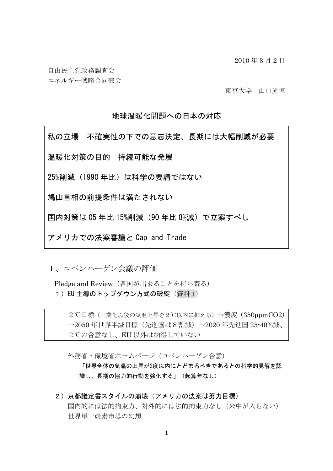2010 年 3 月 2 日

自由民主党政務調査会

エネルギー戦略合同部会

東京大学 山口光恒

# 地球温暖化問題への日本の対応

私の立場 不確実性の下での意志決定、長期には大幅削減が必要 温暖化対策の目的 持続可能な発展 25%削減(1990年比)は科学の要請ではない 鳩山首相の前提条件は満たされない 国内対策は 05 年比 15%削減(90 年比 8%減)で立案すべし アメリカでの法案審議と Cap and Trade

Ⅰ、コペンハーゲン会議の評価

Pledge and Review (各国が出来ることを持ち寄る) 1) EU 主導のトップダウン方式の破綻 (資料 1)

2℃目標(工業化以後の気温上昇を2℃以内に抑える)→濃度(350ppmCO2) →2050年世界半減目標(先進国は8割減)→2020年先進国 25-40%減、 2℃の合意なし、EU 以外は納得していない

外務省·環境省ホームページ(コペンハーゲン合意)

「世界全体の気温の上昇が2度以内にとどまるべきであるとの科学的見解を認 識し、長期の協力的行動を強化する」(起算年なし)

2)京都議定書スタイルの崩壊(アメリカの法案は努力目標) 国内的には法的拘束力、対外的には法的拘束力なし(米中が入らない) 世界単一炭素市場の幻想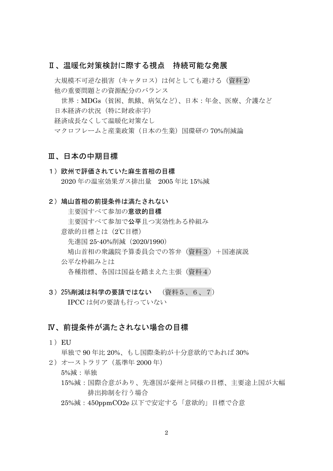## Ⅱ、温暖化対策検討に際する視点 持続可能な発展

大規模不可逆な損害(キャタロス)は何としても避ける(資料2) 他の重要問題との資源配分のバランス

 世界:MDGs(貧困、飢餓、病気など)、日本:年金、医療、介護など 日本経済の状況 (特に財政赤字) 経済成長なくして温暖化対策なし マクロフレームと産業政策(日本の生業)国環研の 70%削減論

### Ⅲ、日本の中期目標

- 1)欧州で評価されていた麻生首相の目標 2020 年の温室効果ガス排出量 2005 年比 15%減
- 2) 鳩山首相の前提条件は満たされない

主要国すべて参加の意欲的目標

主要国すべて参加で公平且つ実効性ある枠組み

意欲的目標とは(2℃目標)

先進国 25-40%削減(2020/1990)

鳩山首相の衆議院予算委員会での答弁(資料3)+国連演説

公平な枠組みとは

各種指標、各国は国益を踏まえた主張(資料4)

3)25%削減は科学の要請ではない (資料5、6、7) IPCC は何の要請も行っていない

# Ⅳ、前提条件が満たされない場合の目標

 $1)$  EU

単独で 90 年比 20%、もし国際条約が十分意欲的であれば 30%

2)オーストラリア(基準年 2000 年)

#### 5%減:単独

- 15%減:国際合意があり、先進国が豪州と同様の目標、主要途上国が大幅 排出抑制を行う場合
- 25%減:450ppmCO2e 以下で安定する「意欲的」目標で合意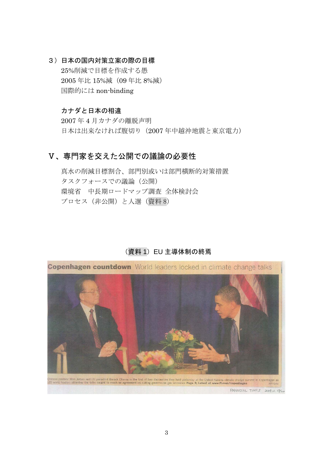3)日本の国内対策立案の際の目標 25%削減で目標を作成する愚 2005 年比 15%減(09 年比 8%減) 国際的には non-binding

### カナダと日本の相違

 2007 年 4 月カナダの離脱声明 日本は出来なければ腹切り (2007年中越沖地震と東京電力)

# Ⅴ、専門家を交えた公開での議論の必要性

 真水の削減目標割合、部門別或いは部門横断的対策措置 タスクフォースでの議論(公開) 環境省 中長期ロードマップ調査 全体検討会 プロセス(非公開)と人選(資料 8)

### (資料 1)EU 主導体制の終焉

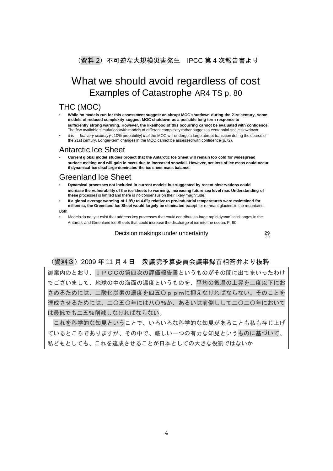(資料 2) 不可逆な大規模災害発生 IPCC 第 4 次報告書より

# What we should avoid regardless of cost Examples of Catastrophe AR4 TS p. 80

## THC (MOC)

- **While no models run for this assessment suggest an abrupt MOC shutdown during the 21st century, some models of reduced complexity suggest MOC shutdown as a possible long-term response to sufficiently strong warming. However, the likelihood of this occurring cannot be evaluated with confidence.** The few available simulations with models of different complexity rather suggest a centennial-scale slowdown.
- it is *--- but very unlikely (*< 10% probability) *that* the MOC will undergo a large abrupt transition during the course of the 21st century. Longer-term changes in the MOC cannot be assessed with confidence (p.72).

### Antarctic Ice Sheet

• **Current global model studies project that the Antarctic Ice Sheet will remain too cold for widespread surface melting and will gain in mass due to increased snowfall. However, net loss of ice mass could occur if dynamical ice discharge dominates the ice sheet mass balance.**

### Greenland Ice Sheet

- **Dynamical processes not included in current models but suggested by recent observations could increase the vulnerability of the ice sheets to warming, increasing future sea level rise. Understanding of these** processes is limited and there is no consensus on their likely magnitude.
- **If a global average warming of 1.9**℃ **to 4.6**℃ **relative to pre-industrial temperatures were maintained for millennia, the Greenland Ice Sheet would largely be eliminated** except for remnant glaciers in the mountains. Both
- Models do not yet exist that address key processes that could contribute to large rapid dynamical changes in the Antarctic and Greenland Ice Sheets that could increase the discharge of ice into the ocean. P. 90

<sup>29</sup> Decision makings under uncertainty <sup>29</sup>

### (資料3)2009 年 11 月 4 日 衆議院予算委員会議事録首相答弁より抜粋

御案内のとおり、IPCCの第四次の評価報告書というものがその間に出てまいったわけ でございまして、地球の中の海面の温度というものを、平均の気温の上昇を二度以下にお さめるためには、二酸化炭素の濃度を四五〇ppmに抑えなければならない。そのことを 達成させるためには、二〇五〇年には八〇%か、あるいは前倒しして二〇二〇年において は最低でも二五%削減しなければならない。

 これを科学的な知見ということで、いろいろな科学的な知見があることも私も存じ上げ ているところでありますが、その中で、厳しい一つの有力な知見というものに基づいて、 私どもとしても、これを達成させることが日本としての大きな役割ではないか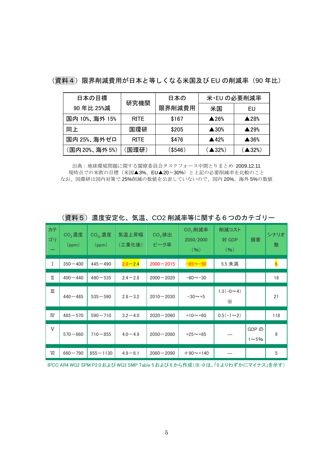| 日本の目標         | 研究機関        | 日本の     | 米·EU の必要削減率               |                           |  |
|---------------|-------------|---------|---------------------------|---------------------------|--|
| 90年比 25%減     |             | 限界削減費用  | 米国                        | EU                        |  |
| 国内 10%、海外 15% | <b>RITE</b> | \$167   | $\blacktriangle$ 26%      | $\triangle$ 28%           |  |
| 同上            | 国環研         | \$205   | $\triangle$ 30%           | $\blacktriangle$ 29%      |  |
| 国内 25%、海外ゼロ   | <b>RITE</b> | \$476   | $\blacktriangle$ 42%      | $\blacktriangle$ 36%      |  |
| (国内20%、海外5%)  | 国環研)        | (\$546) | $($ $\blacktriangle$ 32%) | $($ $\blacktriangle$ 32%) |  |

(資料4)限界削減費用が日本と等しくなる米国及び EU の削減率 (90 年比)

出典:地球環境問題に関する閣僚委員会タスクフォース中間とりまとめ 2009.12.11 現時点での米欧の目標(米国▲3%、EU▲20~30%)と上記の必要削減率を比較のこと なお、国環研は国内対策で 25%削減の数値を公表していないので、国内 20%、海外 5%の数値

| カテ<br>ゴリ | CO <sub>2</sub> 濃度<br>(ppm) | CO <sub>2</sub> 。濃度<br>(ppm) | 気温上昇幅<br>(工業化後) | $CO2$ 排出<br>ピーク率 | CO <sub>2</sub> 削減率<br>2050/2000<br>(96) | 削減コスト<br>対 GDP<br>(96)  | 損害                    | シナリオ<br>数               |
|----------|-----------------------------|------------------------------|-----------------|------------------|------------------------------------------|-------------------------|-----------------------|-------------------------|
| I        | $350 - 400$                 | $445 - 490$                  | $2.0 - 2.4$     | $2000 - 2015$    | $-85 - -50$                              | 5.5 未満                  |                       | $\overline{\mathbf{6}}$ |
| П        | $400 - 440$                 | $490 - 535$                  | $2.4 - 2.8$     | $2000 - 2020$    | $-60 \sim -30$                           |                         |                       | 18                      |
| Ш        | $440 - 485$                 | $535 - 590$                  | $2.8 - 3.2$     | $2010 - 2030$    | $-30 \sim +5$                            | $1.3(-0-4)$<br>$\times$ |                       | 21                      |
| IV       | $485 - 570$                 | $590 - 710$                  | $3.2 - 4.0$     | $2020 - 2060$    | $+10 \sim +60$                           | $0.5(-1\sim2)$          |                       | 118                     |
| V        | $570 - 660$                 | $710 - 855$                  | $4.0 - 4.9$     | $2050 - 2080$    | $+25 \sim +85$                           |                         | GDP の<br>$1 \sim 5\%$ | 9                       |
| W        | $660 - 790$                 | $855 - 1130$                 | $4.9 - 6.1$     | $2060 - 2090$    | $+90$ ~+140                              |                         |                       | 5                       |

(資料5)濃度安定化、気温、CO2 削減率等に関する6つのカテゴリー

IPCC AR4 WG2 SPM P2.0 および WG3 SMP Table 5 および 6 から作成(※-0 は、「0 よりわずかにマイナス」を示す)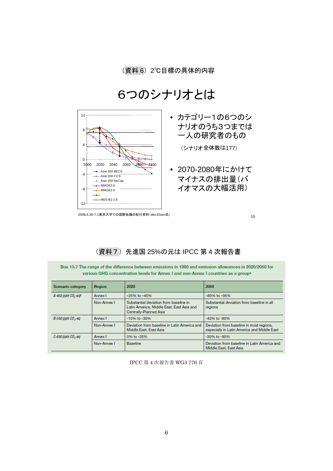# 6つのシナリオとは



2008.6.30-7.1東京大学での国際会議の配付資料(den Elsen氏)

15

# (資料7)先進国 25%の元は IPCC 第 4 次報告書

Box 13.7 The range of the difference between emissions in 1990 and emission allowances in 2020/2050 for various GHG concentration levels for Annex I and non-Annex I countries as a group<sup>a</sup>

| Scenario category       | Region                                                                                                                       | 2020                                                                   | 2050                                                                                    |  |
|-------------------------|------------------------------------------------------------------------------------------------------------------------------|------------------------------------------------------------------------|-----------------------------------------------------------------------------------------|--|
| A-450 ppm $CO2$ -eq $p$ | Annex I                                                                                                                      | $-25%$ to $-40%$                                                       | $-80\%$ to $-95\%$                                                                      |  |
|                         | Substantial deviation from baseline in<br>Non-Annex I<br>Latin America, Middle East, East Asia and<br>Centrally-Planned Asia |                                                                        | Substantial deviation from baseline in all<br>regions                                   |  |
| $B-550$ ppm $CO2$ -eq   | Annex I                                                                                                                      | -10% to -30%                                                           | -40% to -90%                                                                            |  |
|                         | Non-Annex I                                                                                                                  | Deviation from baseline in Latin America and<br>Middle East, East Asia | Deviation from baseline in most regions,<br>especially in Latin America and Middle East |  |
| C-650 ppm $CO2$ -eq     | Annex I                                                                                                                      | 0% to -25%                                                             | -30% to -80%                                                                            |  |
|                         | Non-Annex I                                                                                                                  | <b>Baseline</b>                                                        | Deviation from baseline in Latin America and<br>Middle East, East Asia                  |  |

IPCC 第 4 次報告書 WG3 776 頁